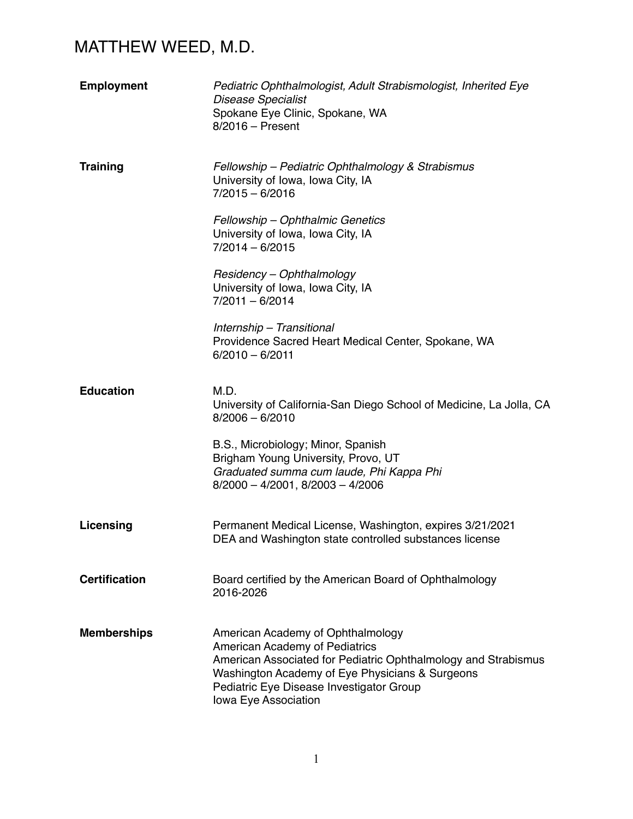| <b>Employment</b>    | Pediatric Ophthalmologist, Adult Strabismologist, Inherited Eye<br><b>Disease Specialist</b><br>Spokane Eye Clinic, Spokane, WA<br>$8/2016$ – Present                                                                                                               |
|----------------------|---------------------------------------------------------------------------------------------------------------------------------------------------------------------------------------------------------------------------------------------------------------------|
| <b>Training</b>      | Fellowship - Pediatric Ophthalmology & Strabismus<br>University of Iowa, Iowa City, IA<br>$7/2015 - 6/2016$                                                                                                                                                         |
|                      | Fellowship - Ophthalmic Genetics<br>University of Iowa, Iowa City, IA<br>$7/2014 - 6/2015$                                                                                                                                                                          |
|                      | Residency - Ophthalmology<br>University of Iowa, Iowa City, IA<br>$7/2011 - 6/2014$                                                                                                                                                                                 |
|                      | Internship - Transitional<br>Providence Sacred Heart Medical Center, Spokane, WA<br>$6/2010 - 6/2011$                                                                                                                                                               |
| <b>Education</b>     | M.D.<br>University of California-San Diego School of Medicine, La Jolla, CA<br>$8/2006 - 6/2010$                                                                                                                                                                    |
|                      | B.S., Microbiology; Minor, Spanish<br>Brigham Young University, Provo, UT<br>Graduated summa cum laude, Phi Kappa Phi<br>$8/2000 - 4/2001$ , $8/2003 - 4/2006$                                                                                                      |
| Licensing            | Permanent Medical License, Washington, expires 3/21/2021<br>DEA and Washington state controlled substances license                                                                                                                                                  |
| <b>Certification</b> | Board certified by the American Board of Ophthalmology<br>2016-2026                                                                                                                                                                                                 |
| <b>Memberships</b>   | American Academy of Ophthalmology<br><b>American Academy of Pediatrics</b><br>American Associated for Pediatric Ophthalmology and Strabismus<br>Washington Academy of Eye Physicians & Surgeons<br>Pediatric Eye Disease Investigator Group<br>Iowa Eye Association |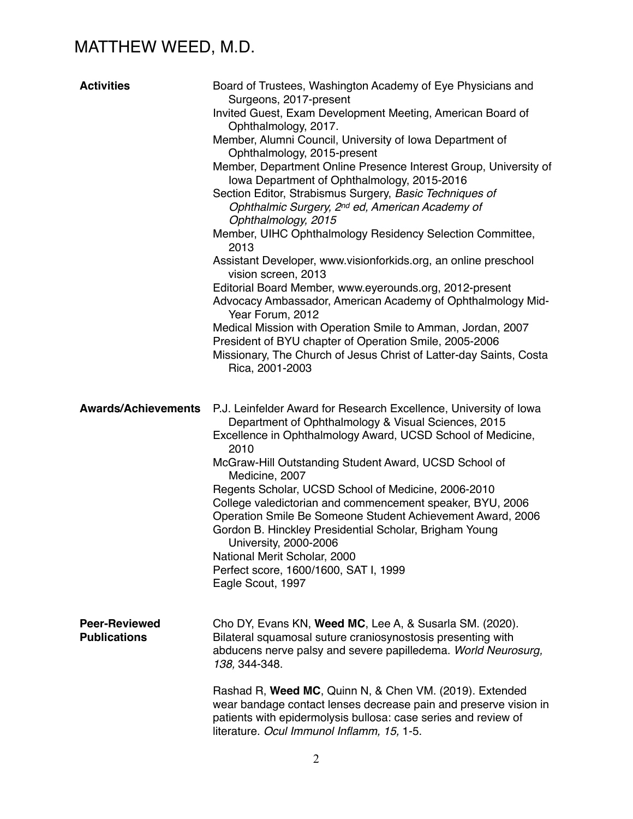| <b>Activities</b>                           | Board of Trustees, Washington Academy of Eye Physicians and<br>Surgeons, 2017-present<br>Invited Guest, Exam Development Meeting, American Board of<br>Ophthalmology, 2017.<br>Member, Alumni Council, University of Iowa Department of<br>Ophthalmology, 2015-present<br>Member, Department Online Presence Interest Group, University of<br>lowa Department of Ophthalmology, 2015-2016<br>Section Editor, Strabismus Surgery, Basic Techniques of<br>Ophthalmic Surgery, 2 <sup>nd</sup> ed, American Academy of<br>Ophthalmology, 2015<br>Member, UIHC Ophthalmology Residency Selection Committee,<br>2013<br>Assistant Developer, www.visionforkids.org, an online preschool<br>vision screen, 2013<br>Editorial Board Member, www.eyerounds.org, 2012-present<br>Advocacy Ambassador, American Academy of Ophthalmology Mid-<br>Year Forum, 2012<br>Medical Mission with Operation Smile to Amman, Jordan, 2007<br>President of BYU chapter of Operation Smile, 2005-2006<br>Missionary, The Church of Jesus Christ of Latter-day Saints, Costa |
|---------------------------------------------|--------------------------------------------------------------------------------------------------------------------------------------------------------------------------------------------------------------------------------------------------------------------------------------------------------------------------------------------------------------------------------------------------------------------------------------------------------------------------------------------------------------------------------------------------------------------------------------------------------------------------------------------------------------------------------------------------------------------------------------------------------------------------------------------------------------------------------------------------------------------------------------------------------------------------------------------------------------------------------------------------------------------------------------------------------|
| <b>Awards/Achievements</b>                  | Rica, 2001-2003<br>P.J. Leinfelder Award for Research Excellence, University of Iowa<br>Department of Ophthalmology & Visual Sciences, 2015<br>Excellence in Ophthalmology Award, UCSD School of Medicine,<br>2010<br>McGraw-Hill Outstanding Student Award, UCSD School of<br>Medicine, 2007<br>Regents Scholar, UCSD School of Medicine, 2006-2010<br>College valedictorian and commencement speaker, BYU, 2006<br>Operation Smile Be Someone Student Achievement Award, 2006<br>Gordon B. Hinckley Presidential Scholar, Brigham Young<br>University, 2000-2006<br>National Merit Scholar, 2000<br>Perfect score, 1600/1600, SAT I, 1999<br>Eagle Scout, 1997                                                                                                                                                                                                                                                                                                                                                                                       |
| <b>Peer-Reviewed</b><br><b>Publications</b> | Cho DY, Evans KN, Weed MC, Lee A, & Susarla SM. (2020).<br>Bilateral squamosal suture craniosynostosis presenting with<br>abducens nerve palsy and severe papilledema. World Neurosurg,<br>138, 344-348.<br>Rashad R, Weed MC, Quinn N, & Chen VM. (2019). Extended<br>wear bandage contact lenses decrease pain and preserve vision in<br>patients with epidermolysis bullosa: case series and review of<br>literature. Ocul Immunol Inflamm, 15, 1-5.                                                                                                                                                                                                                                                                                                                                                                                                                                                                                                                                                                                                |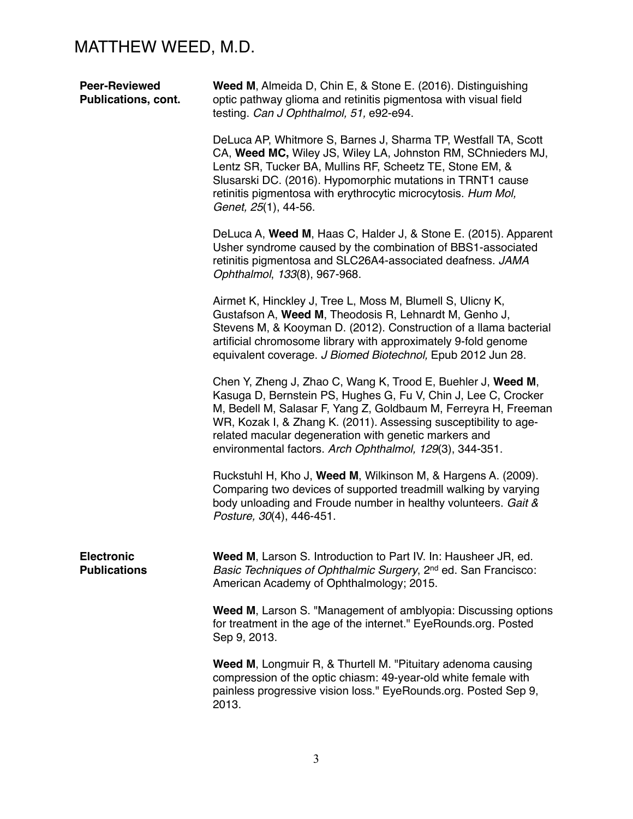| <b>Peer-Reviewed</b><br><b>Publications, cont.</b> | Weed M, Almeida D, Chin E, & Stone E. (2016). Distinguishing<br>optic pathway glioma and retinitis pigmentosa with visual field<br>testing. Can J Ophthalmol, 51, e92-e94.                                                                                                                                                                                                                 |
|----------------------------------------------------|--------------------------------------------------------------------------------------------------------------------------------------------------------------------------------------------------------------------------------------------------------------------------------------------------------------------------------------------------------------------------------------------|
|                                                    | DeLuca AP, Whitmore S, Barnes J, Sharma TP, Westfall TA, Scott<br>CA, Weed MC, Wiley JS, Wiley LA, Johnston RM, SChnieders MJ,<br>Lentz SR, Tucker BA, Mullins RF, Scheetz TE, Stone EM, &<br>Slusarski DC. (2016). Hypomorphic mutations in TRNT1 cause<br>retinitis pigmentosa with erythrocytic microcytosis. Hum Mol,<br>Genet, 25(1), 44-56.                                          |
|                                                    | DeLuca A, Weed M, Haas C, Halder J, & Stone E. (2015). Apparent<br>Usher syndrome caused by the combination of BBS1-associated<br>retinitis pigmentosa and SLC26A4-associated deafness. JAMA<br>Ophthalmol, 133(8), 967-968.                                                                                                                                                               |
|                                                    | Airmet K, Hinckley J, Tree L, Moss M, Blumell S, Ulicny K,<br>Gustafson A, Weed M, Theodosis R, Lehnardt M, Genho J,<br>Stevens M, & Kooyman D. (2012). Construction of a llama bacterial<br>artificial chromosome library with approximately 9-fold genome<br>equivalent coverage. J Biomed Biotechnol, Epub 2012 Jun 28.                                                                 |
|                                                    | Chen Y, Zheng J, Zhao C, Wang K, Trood E, Buehler J, Weed M,<br>Kasuga D, Bernstein PS, Hughes G, Fu V, Chin J, Lee C, Crocker<br>M, Bedell M, Salasar F, Yang Z, Goldbaum M, Ferreyra H, Freeman<br>WR, Kozak I, & Zhang K. (2011). Assessing susceptibility to age-<br>related macular degeneration with genetic markers and<br>environmental factors. Arch Ophthalmol, 129(3), 344-351. |
|                                                    | Ruckstuhl H, Kho J, Weed M, Wilkinson M, & Hargens A. (2009).<br>Comparing two devices of supported treadmill walking by varying<br>body unloading and Froude number in healthy volunteers. Gait &<br>Posture, 30(4), 446-451.                                                                                                                                                             |
| <b>Electronic</b><br><b>Publications</b>           | Weed M, Larson S. Introduction to Part IV. In: Hausheer JR, ed.<br>Basic Techniques of Ophthalmic Surgery, 2 <sup>nd</sup> ed. San Francisco:<br>American Academy of Ophthalmology; 2015.                                                                                                                                                                                                  |
|                                                    | Weed M, Larson S. "Management of amblyopia: Discussing options<br>for treatment in the age of the internet." EyeRounds.org. Posted<br>Sep 9, 2013.                                                                                                                                                                                                                                         |
|                                                    | Weed M, Longmuir R, & Thurtell M. "Pituitary adenoma causing<br>compression of the optic chiasm: 49-year-old white female with<br>painless progressive vision loss." EyeRounds.org. Posted Sep 9,<br>2013.                                                                                                                                                                                 |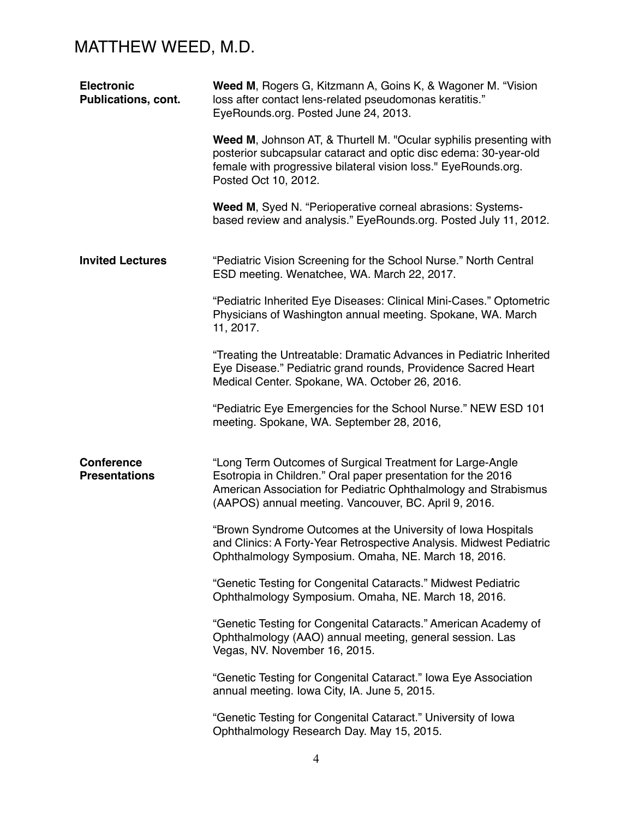| <b>Electronic</b><br>Publications, cont.  | Weed M, Rogers G, Kitzmann A, Goins K, & Wagoner M. "Vision<br>loss after contact lens-related pseudomonas keratitis."<br>EyeRounds.org. Posted June 24, 2013.                                                                                        |
|-------------------------------------------|-------------------------------------------------------------------------------------------------------------------------------------------------------------------------------------------------------------------------------------------------------|
|                                           | Weed M, Johnson AT, & Thurtell M. "Ocular syphilis presenting with<br>posterior subcapsular cataract and optic disc edema: 30-year-old<br>female with progressive bilateral vision loss." EyeRounds.org.<br>Posted Oct 10, 2012.                      |
|                                           | Weed M, Syed N. "Perioperative corneal abrasions: Systems-<br>based review and analysis." EyeRounds.org. Posted July 11, 2012.                                                                                                                        |
| <b>Invited Lectures</b>                   | "Pediatric Vision Screening for the School Nurse." North Central<br>ESD meeting. Wenatchee, WA. March 22, 2017.                                                                                                                                       |
|                                           | "Pediatric Inherited Eye Diseases: Clinical Mini-Cases." Optometric<br>Physicians of Washington annual meeting. Spokane, WA. March<br>11, 2017.                                                                                                       |
|                                           | "Treating the Untreatable: Dramatic Advances in Pediatric Inherited<br>Eye Disease." Pediatric grand rounds, Providence Sacred Heart<br>Medical Center. Spokane, WA. October 26, 2016.                                                                |
|                                           | "Pediatric Eye Emergencies for the School Nurse." NEW ESD 101<br>meeting. Spokane, WA. September 28, 2016,                                                                                                                                            |
| <b>Conference</b><br><b>Presentations</b> | "Long Term Outcomes of Surgical Treatment for Large-Angle<br>Esotropia in Children." Oral paper presentation for the 2016<br>American Association for Pediatric Ophthalmology and Strabismus<br>(AAPOS) annual meeting. Vancouver, BC. April 9, 2016. |
|                                           | "Brown Syndrome Outcomes at the University of Iowa Hospitals<br>and Clinics: A Forty-Year Retrospective Analysis. Midwest Pediatric<br>Ophthalmology Symposium. Omaha, NE. March 18, 2016.                                                            |
|                                           | "Genetic Testing for Congenital Cataracts." Midwest Pediatric<br>Ophthalmology Symposium. Omaha, NE. March 18, 2016.                                                                                                                                  |
|                                           | "Genetic Testing for Congenital Cataracts." American Academy of<br>Ophthalmology (AAO) annual meeting, general session. Las<br>Vegas, NV. November 16, 2015.                                                                                          |
|                                           | "Genetic Testing for Congenital Cataract." Iowa Eye Association<br>annual meeting. Iowa City, IA. June 5, 2015.                                                                                                                                       |
|                                           | "Genetic Testing for Congenital Cataract." University of Iowa<br>Ophthalmology Research Day. May 15, 2015.                                                                                                                                            |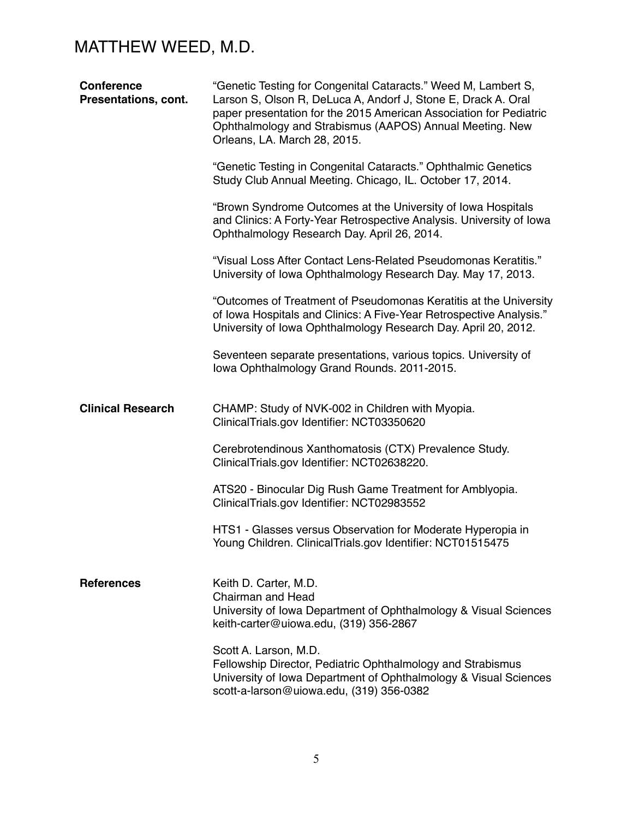| <b>Conference</b><br>Presentations, cont. | "Genetic Testing for Congenital Cataracts." Weed M, Lambert S,<br>Larson S, Olson R, DeLuca A, Andorf J, Stone E, Drack A. Oral<br>paper presentation for the 2015 American Association for Pediatric<br>Ophthalmology and Strabismus (AAPOS) Annual Meeting. New<br>Orleans, LA. March 28, 2015. |
|-------------------------------------------|---------------------------------------------------------------------------------------------------------------------------------------------------------------------------------------------------------------------------------------------------------------------------------------------------|
|                                           | "Genetic Testing in Congenital Cataracts." Ophthalmic Genetics<br>Study Club Annual Meeting. Chicago, IL. October 17, 2014.                                                                                                                                                                       |
|                                           | "Brown Syndrome Outcomes at the University of Iowa Hospitals<br>and Clinics: A Forty-Year Retrospective Analysis. University of Iowa<br>Ophthalmology Research Day. April 26, 2014.                                                                                                               |
|                                           | "Visual Loss After Contact Lens-Related Pseudomonas Keratitis."<br>University of Iowa Ophthalmology Research Day. May 17, 2013.                                                                                                                                                                   |
|                                           | "Outcomes of Treatment of Pseudomonas Keratitis at the University<br>of Iowa Hospitals and Clinics: A Five-Year Retrospective Analysis."<br>University of Iowa Ophthalmology Research Day. April 20, 2012.                                                                                        |
|                                           | Seventeen separate presentations, various topics. University of<br>lowa Ophthalmology Grand Rounds. 2011-2015.                                                                                                                                                                                    |
| <b>Clinical Research</b>                  | CHAMP: Study of NVK-002 in Children with Myopia.<br>ClinicalTrials.gov Identifier: NCT03350620                                                                                                                                                                                                    |
|                                           | Cerebrotendinous Xanthomatosis (CTX) Prevalence Study.<br>ClinicalTrials.gov Identifier: NCT02638220.                                                                                                                                                                                             |
|                                           | ATS20 - Binocular Dig Rush Game Treatment for Amblyopia.<br>ClinicalTrials.gov Identifier: NCT02983552                                                                                                                                                                                            |
|                                           | HTS1 - Glasses versus Observation for Moderate Hyperopia in<br>Young Children. ClinicalTrials.gov Identifier: NCT01515475                                                                                                                                                                         |
| <b>References</b>                         | Keith D. Carter, M.D.<br><b>Chairman and Head</b><br>University of Iowa Department of Ophthalmology & Visual Sciences<br>keith-carter@uiowa.edu, (319) 356-2867                                                                                                                                   |
|                                           | Scott A. Larson, M.D.<br>Fellowship Director, Pediatric Ophthalmology and Strabismus<br>University of Iowa Department of Ophthalmology & Visual Sciences<br>scott-a-larson@uiowa.edu, (319) 356-0382                                                                                              |